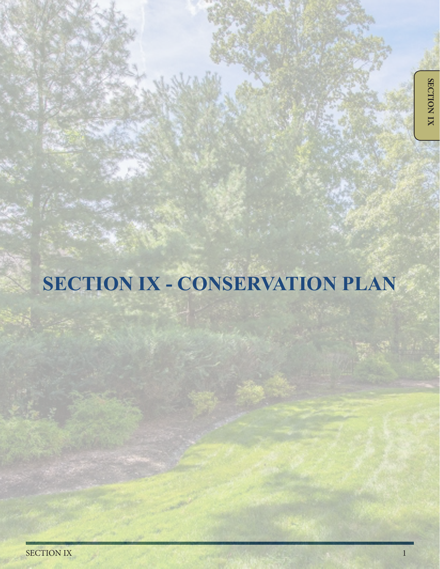# **SECTION IX - CONSERVATION PLAN**

WA

دو پور <sub>مر</sub>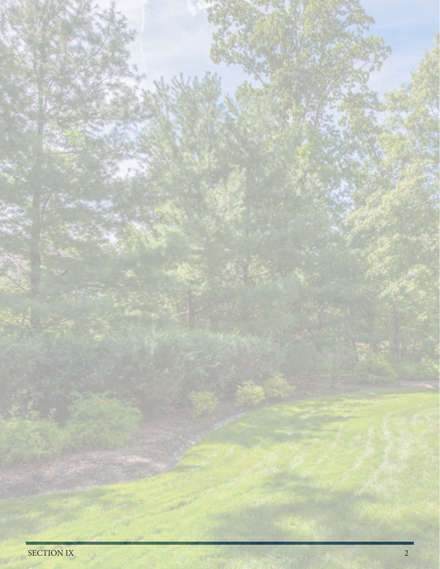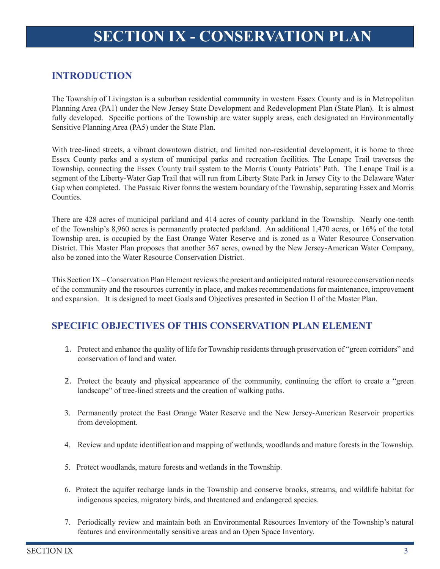# **INTRODUCTION**

The Township of Livingston is a suburban residential community in western Essex County and is in Metropolitan Planning Area (PA1) under the New Jersey State Development and Redevelopment Plan (State Plan). It is almost fully developed. Specific portions of the Township are water supply areas, each designated an Environmentally Sensitive Planning Area (PA5) under the State Plan.

With tree-lined streets, a vibrant downtown district, and limited non-residential development, it is home to three Essex County parks and a system of municipal parks and recreation facilities. The Lenape Trail traverses the Township, connecting the Essex County trail system to the Morris County Patriots' Path. The Lenape Trail is a segment of the Liberty-Water Gap Trail that will run from Liberty State Park in Jersey City to the Delaware Water Gap when completed. The Passaic River forms the western boundary of the Township, separating Essex and Morris **Counties** 

There are 428 acres of municipal parkland and 414 acres of county parkland in the Township. Nearly one-tenth of the Township's 8,960 acres is permanently protected parkland. An additional 1,470 acres, or 16% of the total Township area, is occupied by the East Orange Water Reserve and is zoned as a Water Resource Conservation District. This Master Plan proposes that another 367 acres, owned by the New Jersey-American Water Company, also be zoned into the Water Resource Conservation District.

This Section IX – Conservation Plan Element reviews the present and anticipated natural resource conservation needs of the community and the resources currently in place, and makes recommendations for maintenance, improvement and expansion. It is designed to meet Goals and Objectives presented in Section II of the Master Plan.

# **SPECIFIC OBJECTIVES OF THIS CONSERVATION PLAN ELEMENT**

- 1. Protect and enhance the quality of life for Township residents through preservation of "green corridors" and conservation of land and water.
- 2. Protect the beauty and physical appearance of the community, continuing the effort to create a "green landscape" of tree-lined streets and the creation of walking paths.
- 3. Permanently protect the East Orange Water Reserve and the New Jersey-American Reservoir properties from development.
- 4. Review and update identification and mapping of wetlands, woodlands and mature forests in the Township.
- 5. Protect woodlands, mature forests and wetlands in the Township.
- 6. Protect the aquifer recharge lands in the Township and conserve brooks, streams, and wildlife habitat for indigenous species, migratory birds, and threatened and endangered species.
- 7. Periodically review and maintain both an Environmental Resources Inventory of the Township's natural features and environmentally sensitive areas and an Open Space Inventory.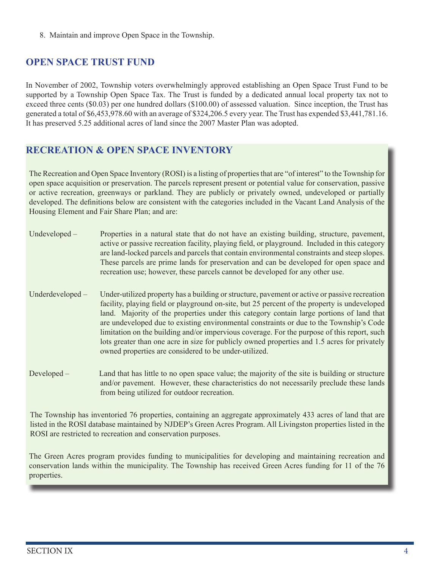8. Maintain and improve Open Space in the Township.

# **OPEN SPACE TRUST FUND**

In November of 2002, Township voters overwhelmingly approved establishing an Open Space Trust Fund to be supported by a Township Open Space Tax. The Trust is funded by a dedicated annual local property tax not to exceed three cents (\$0.03) per one hundred dollars (\$100.00) of assessed valuation. Since inception, the Trust has generated a total of \$6,453,978.60 with an average of \$324,206.5 every year. The Trust has expended \$3,441,781.16. It has preserved 5.25 additional acres of land since the 2007 Master Plan was adopted.

# **RECREATION & OPEN SPACE INVENTORY**

The Recreation and Open Space Inventory (ROSI) is a listing of properties that are "of interest" to the Township for open space acquisition or preservation. The parcels represent present or potential value for conservation, passive or active recreation, greenways or parkland. They are publicly or privately owned, undeveloped or partially developed. The definitions below are consistent with the categories included in the Vacant Land Analysis of the Housing Element and Fair Share Plan; and are:

- Undeveloped Properties in a natural state that do not have an existing building, structure, pavement, active or passive recreation facility, playing field, or playground. Included in this category are land-locked parcels and parcels that contain environmental constraints and steep slopes. These parcels are prime lands for preservation and can be developed for open space and recreation use; however, these parcels cannot be developed for any other use.
- Underdeveloped Under-utilized property has a building or structure, pavement or active or passive recreation facility, playing field or playground on-site, but 25 percent of the property is undeveloped land. Majority of the properties under this category contain large portions of land that are undeveloped due to existing environmental constraints or due to the Township's Code limitation on the building and/or impervious coverage. For the purpose of this report, such lots greater than one acre in size for publicly owned properties and 1.5 acres for privately owned properties are considered to be under-utilized.
- Developed Land that has little to no open space value; the majority of the site is building or structure and/or pavement. However, these characteristics do not necessarily preclude these lands from being utilized for outdoor recreation.

The Township has inventoried 76 properties, containing an aggregate approximately 433 acres of land that are listed in the ROSI database maintained by NJDEP's Green Acres Program. All Livingston properties listed in the ROSI are restricted to recreation and conservation purposes.

The Green Acres program provides funding to municipalities for developing and maintaining recreation and conservation lands within the municipality. The Township has received Green Acres funding for 11 of the 76 properties.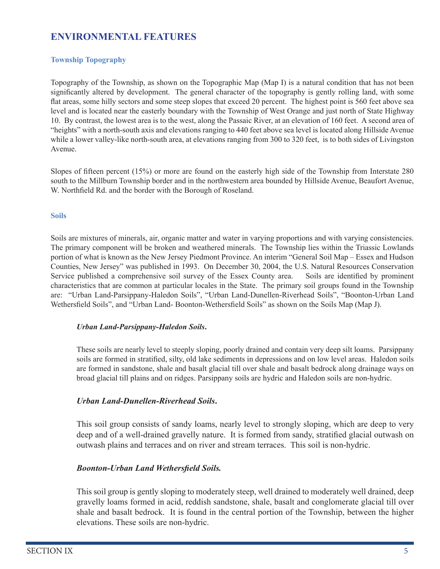# **ENVIRONMENTAL FEATURES**

#### **Township Topography**

Topography of the Township, as shown on the Topographic Map (Map I) is a natural condition that has not been significantly altered by development. The general character of the topography is gently rolling land, with some flat areas, some hilly sectors and some steep slopes that exceed 20 percent. The highest point is 560 feet above sea level and is located near the easterly boundary with the Township of West Orange and just north of State Highway 10. By contrast, the lowest area is to the west, along the Passaic River, at an elevation of 160 feet. A second area of "heights" with a north-south axis and elevations ranging to 440 feet above sea level is located along Hillside Avenue while a lower valley-like north-south area, at elevations ranging from 300 to 320 feet, is to both sides of Livingston Avenue.

Slopes of fifteen percent (15%) or more are found on the easterly high side of the Township from Interstate 280 south to the Millburn Township border and in the northwestern area bounded by Hillside Avenue, Beaufort Avenue, W. Northfield Rd. and the border with the Borough of Roseland.

#### **Soils**

Soils are mixtures of minerals, air, organic matter and water in varying proportions and with varying consistencies. The primary component will be broken and weathered minerals. The Township lies within the Triassic Lowlands portion of what is known as the New Jersey Piedmont Province. An interim "General Soil Map – Essex and Hudson Counties, New Jersey" was published in 1993. On December 30, 2004, the U.S. Natural Resources Conservation Service published a comprehensive soil survey of the Essex County area. Soils are identified by prominent characteristics that are common at particular locales in the State. The primary soil groups found in the Township are: "Urban Land-Parsippany-Haledon Soils", "Urban Land-Dunellen-Riverhead Soils", "Boonton-Urban Land Wethersfield Soils", and "Urban Land- Boonton-Wethersfield Soils" as shown on the Soils Map (Map J).

#### *Urban Land-Parsippany-Haledon Soils***.**

These soils are nearly level to steeply sloping, poorly drained and contain very deep silt loams. Parsippany soils are formed in stratified, silty, old lake sediments in depressions and on low level areas. Haledon soils are formed in sandstone, shale and basalt glacial till over shale and basalt bedrock along drainage ways on broad glacial till plains and on ridges. Parsippany soils are hydric and Haledon soils are non-hydric.

#### *Urban Land-Dunellen-Riverhead Soils***.**

This soil group consists of sandy loams, nearly level to strongly sloping, which are deep to very deep and of a well-drained gravelly nature. It is formed from sandy, stratified glacial outwash on outwash plains and terraces and on river and stream terraces. This soil is non-hydric.

### *Boonton-Urban Land Wethersfield Soils.*

This soil group is gently sloping to moderately steep, well drained to moderately well drained, deep gravelly loams formed in acid, reddish sandstone, shale, basalt and conglomerate glacial till over shale and basalt bedrock. It is found in the central portion of the Township, between the higher elevations. These soils are non-hydric.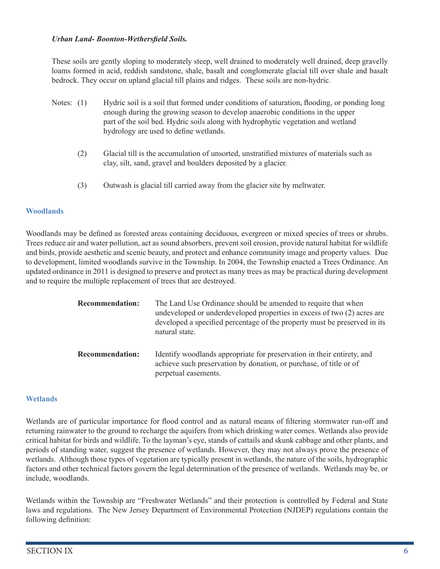#### *Urban Land- Boonton-Wethersfield Soils.*

These soils are gently sloping to moderately steep, well drained to moderately well drained, deep gravelly loams formed in acid, reddish sandstone, shale, basalt and conglomerate glacial till over shale and basalt bedrock. They occur on upland glacial till plains and ridges. These soils are non-hydric.

- Notes: (1) Hydric soil is a soil that formed under conditions of saturation, flooding, or ponding long enough during the growing season to develop anaerobic conditions in the upper part of the soil bed. Hydric soils along with hydrophytic vegetation and wetland hydrology are used to define wetlands.
	- (2) Glacial till is the accumulation of unsorted, unstratified mixtures of materials such as clay, silt, sand, gravel and boulders deposited by a glacier.
	- (3) Outwash is glacial till carried away from the glacier site by meltwater.

#### **Woodlands**

Woodlands may be defined as forested areas containing deciduous, evergreen or mixed species of trees or shrubs. Trees reduce air and water pollution, act as sound absorbers, prevent soil erosion, provide natural habitat for wildlife and birds, provide aesthetic and scenic beauty, and protect and enhance community image and property values. Due to development, limited woodlands survive in the Township. In 2004, the Township enacted a Trees Ordinance. An updated ordinance in 2011 is designed to preserve and protect as many trees as may be practical during development and to require the multiple replacement of trees that are destroyed.

| <b>Recommendation:</b> | The Land Use Ordinance should be amended to require that when<br>undeveloped or underdeveloped properties in excess of two (2) acres are<br>developed a specified percentage of the property must be preserved in its<br>natural state. |
|------------------------|-----------------------------------------------------------------------------------------------------------------------------------------------------------------------------------------------------------------------------------------|
| <b>Recommendation:</b> | Identify woodlands appropriate for preservation in their entirety, and<br>achieve such preservation by donation, or purchase, of title or of<br>perpetual easements.                                                                    |

#### **Wetlands**

Wetlands are of particular importance for flood control and as natural means of filtering stormwater run-off and returning rainwater to the ground to recharge the aquifers from which drinking water comes. Wetlands also provide critical habitat for birds and wildlife. To the layman's eye, stands of cattails and skunk cabbage and other plants, and periods of standing water, suggest the presence of wetlands. However, they may not always prove the presence of wetlands. Although those types of vegetation are typically present in wetlands, the nature of the soils, hydrographic factors and other technical factors govern the legal determination of the presence of wetlands. Wetlands may be, or include, woodlands.

Wetlands within the Township are "Freshwater Wetlands" and their protection is controlled by Federal and State laws and regulations. The New Jersey Department of Environmental Protection (NJDEP) regulations contain the following definition: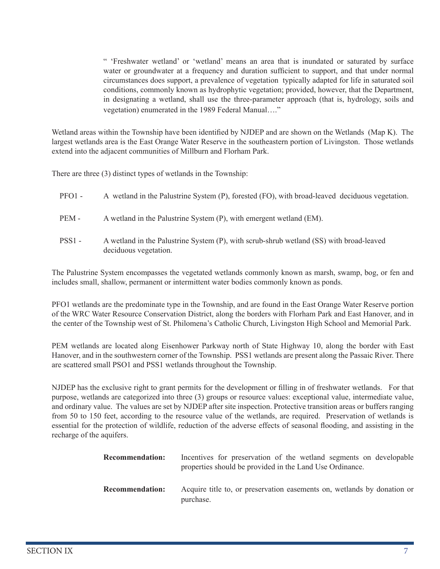" 'Freshwater wetland' or 'wetland' means an area that is inundated or saturated by surface water or groundwater at a frequency and duration sufficient to support, and that under normal circumstances does support, a prevalence of vegetation typically adapted for life in saturated soil conditions, commonly known as hydrophytic vegetation; provided, however, that the Department, in designating a wetland, shall use the three-parameter approach (that is, hydrology, soils and vegetation) enumerated in the 1989 Federal Manual…."

Wetland areas within the Township have been identified by NJDEP and are shown on the Wetlands (Map K). The largest wetlands area is the East Orange Water Reserve in the southeastern portion of Livingston. Those wetlands extend into the adjacent communities of Millburn and Florham Park.

There are three (3) distinct types of wetlands in the Township:

| $PFO1 -$ | A wetland in the Palustrine System (P), forested (FO), with broad-leaved deciduous vegetation.                   |
|----------|------------------------------------------------------------------------------------------------------------------|
| PEM -    | A wetland in the Palustrine System (P), with emergent wetland (EM).                                              |
| $PSS1 -$ | A wetland in the Palustrine System (P), with scrub-shrub wetland (SS) with broad-leaved<br>deciduous vegetation. |

The Palustrine System encompasses the vegetated wetlands commonly known as marsh, swamp, bog, or fen and includes small, shallow, permanent or intermittent water bodies commonly known as ponds.

PFO1 wetlands are the predominate type in the Township, and are found in the East Orange Water Reserve portion of the WRC Water Resource Conservation District, along the borders with Florham Park and East Hanover, and in the center of the Township west of St. Philomena's Catholic Church, Livingston High School and Memorial Park.

PEM wetlands are located along Eisenhower Parkway north of State Highway 10, along the border with East Hanover, and in the southwestern corner of the Township. PSS1 wetlands are present along the Passaic River. There are scattered small PSO1 and PSS1 wetlands throughout the Township.

NJDEP has the exclusive right to grant permits for the development or filling in of freshwater wetlands. For that purpose, wetlands are categorized into three (3) groups or resource values: exceptional value, intermediate value, and ordinary value. The values are set by NJDEP after site inspection. Protective transition areas or buffers ranging from 50 to 150 feet, according to the resource value of the wetlands, are required. Preservation of wetlands is essential for the protection of wildlife, reduction of the adverse effects of seasonal flooding, and assisting in the recharge of the aquifers.

| <b>Recommendation:</b> | Incentives for preservation of the wetland segments on developable<br>properties should be provided in the Land Use Ordinance. |
|------------------------|--------------------------------------------------------------------------------------------------------------------------------|
| <b>Recommendation:</b> | Acquire title to, or preservation easements on, wetlands by donation or<br>purchase.                                           |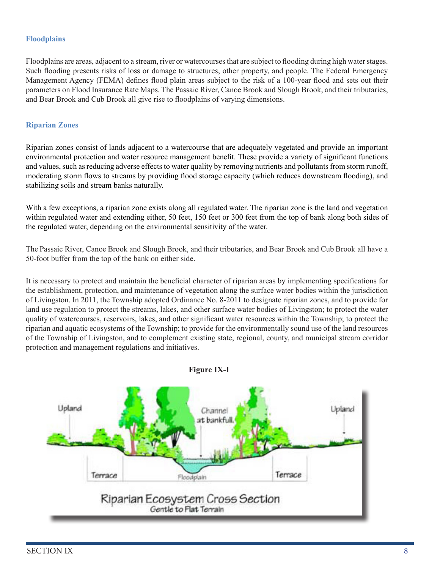#### **Floodplains**

Floodplains are areas, adjacent to a stream, river or watercourses that are subject to flooding during high water stages. Such flooding presents risks of loss or damage to structures, other property, and people. The Federal Emergency Management Agency (FEMA) defines flood plain areas subject to the risk of a 100-year flood and sets out their parameters on Flood Insurance Rate Maps. The Passaic River, Canoe Brook and Slough Brook, and their tributaries, and Bear Brook and Cub Brook all give rise to floodplains of varying dimensions.

#### **Riparian Zones**

Riparian zones consist of lands adjacent to a watercourse that are adequately vegetated and provide an important environmental protection and water resource management benefit. These provide a variety of significant functions and values, such as reducing adverse effects to water quality by removing nutrients and pollutants from storm runoff, moderating storm flows to streams by providing flood storage capacity (which reduces downstream flooding), and stabilizing soils and stream banks naturally.

With a few exceptions, a riparian zone exists along all regulated water. The riparian zone is the land and vegetation within regulated water and extending either, 50 feet, 150 feet or 300 feet from the top of bank along both sides of the regulated water, depending on the environmental sensitivity of the water.

The Passaic River, Canoe Brook and Slough Brook, and their tributaries, and Bear Brook and Cub Brook all have a 50-foot buffer from the top of the bank on either side.

It is necessary to protect and maintain the beneficial character of riparian areas by implementing specifications for the establishment, protection, and maintenance of vegetation along the surface water bodies within the jurisdiction of Livingston. In 2011, the Township adopted Ordinance No. 8-2011 to designate riparian zones, and to provide for land use regulation to protect the streams, lakes, and other surface water bodies of Livingston; to protect the water quality of watercourses, reservoirs, lakes, and other significant water resources within the Township; to protect the riparian and aquatic ecosystems of the Township; to provide for the environmentally sound use of the land resources of the Township of Livingston, and to complement existing state, regional, county, and municipal stream corridor protection and management regulations and initiatives.



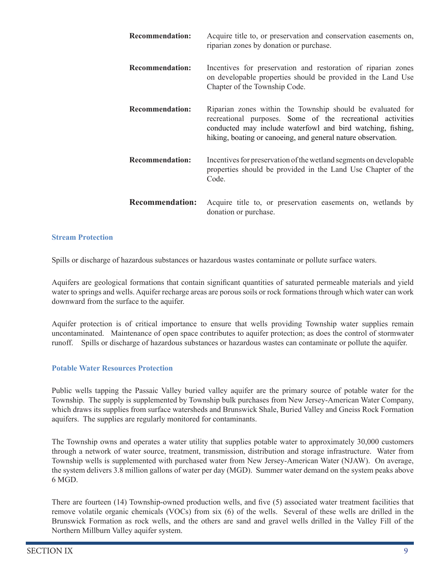| <b>Recommendation:</b> | Acquire title to, or preservation and conservation easements on,<br>riparian zones by donation or purchase.                                                                                                                                             |
|------------------------|---------------------------------------------------------------------------------------------------------------------------------------------------------------------------------------------------------------------------------------------------------|
| <b>Recommendation:</b> | Incentives for preservation and restoration of riparian zones<br>on developable properties should be provided in the Land Use<br>Chapter of the Township Code.                                                                                          |
| <b>Recommendation:</b> | Riparian zones within the Township should be evaluated for<br>recreational purposes. Some of the recreational activities<br>conducted may include waterfowl and bird watching, fishing,<br>hiking, boating or canoeing, and general nature observation. |
| <b>Recommendation:</b> | Incentives for preservation of the wetland segments on developable<br>properties should be provided in the Land Use Chapter of the<br>Code.                                                                                                             |
| <b>Recommendation:</b> | Acquire title to, or preservation easements on, wetlands by<br>donation or purchase.                                                                                                                                                                    |

#### **Stream Protection**

Spills or discharge of hazardous substances or hazardous wastes contaminate or pollute surface waters.

Aquifers are geological formations that contain significant quantities of saturated permeable materials and yield water to springs and wells. Aquifer recharge areas are porous soils or rock formations through which water can work downward from the surface to the aquifer.

Aquifer protection is of critical importance to ensure that wells providing Township water supplies remain uncontaminated. Maintenance of open space contributes to aquifer protection; as does the control of stormwater runoff. Spills or discharge of hazardous substances or hazardous wastes can contaminate or pollute the aquifer.

#### **Potable Water Resources Protection**

Public wells tapping the Passaic Valley buried valley aquifer are the primary source of potable water for the Township. The supply is supplemented by Township bulk purchases from New Jersey-American Water Company, which draws its supplies from surface watersheds and Brunswick Shale, Buried Valley and Gneiss Rock Formation aquifers. The supplies are regularly monitored for contaminants.

The Township owns and operates a water utility that supplies potable water to approximately 30,000 customers through a network of water source, treatment, transmission, distribution and storage infrastructure. Water from Township wells is supplemented with purchased water from New Jersey-American Water (NJAW). On average, the system delivers 3.8 million gallons of water per day (MGD). Summer water demand on the system peaks above 6 MGD.

There are fourteen (14) Township-owned production wells, and five (5) associated water treatment facilities that remove volatile organic chemicals (VOCs) from six (6) of the wells. Several of these wells are drilled in the Brunswick Formation as rock wells, and the others are sand and gravel wells drilled in the Valley Fill of the Northern Millburn Valley aquifer system.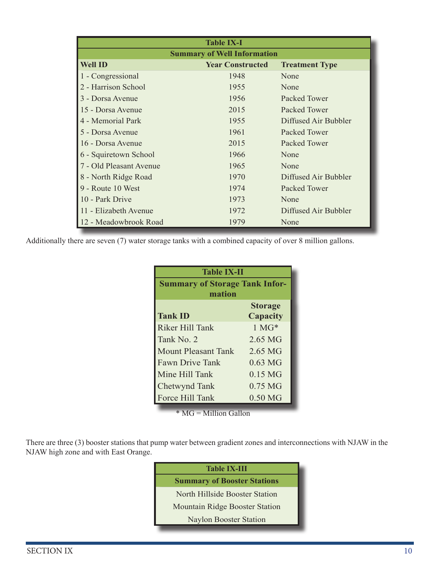| <b>Table IX-I</b>                  |                         |                       |  |
|------------------------------------|-------------------------|-----------------------|--|
| <b>Summary of Well Information</b> |                         |                       |  |
| <b>Well ID</b>                     | <b>Year Constructed</b> | <b>Treatment Type</b> |  |
| 1 - Congressional                  | 1948                    | None                  |  |
| 2 - Harrison School                | 1955                    | None                  |  |
| 3 - Dorsa Avenue                   | 1956                    | <b>Packed Tower</b>   |  |
| 15 - Dorsa Avenue                  | 2015                    | Packed Tower          |  |
| 4 - Memorial Park                  | 1955                    | Diffused Air Bubbler  |  |
| 5 - Dorsa Avenue                   | 1961                    | Packed Tower          |  |
| 16 - Dorsa Avenue                  | 2015                    | Packed Tower          |  |
| 6 - Squiretown School              | 1966                    | None                  |  |
| 7 - Old Pleasant Avenue            | 1965                    | None                  |  |
| 8 - North Ridge Road               | 1970                    | Diffused Air Bubbler  |  |
| 9 - Route 10 West                  | 1974                    | Packed Tower          |  |
| 10 - Park Drive                    | 1973                    | None                  |  |
| 11 - Elizabeth Avenue              | 1972                    | Diffused Air Bubbler  |  |
| 12 - Meadowbrook Road              | 1979                    | None                  |  |

Additionally there are seven (7) water storage tanks with a combined capacity of over 8 million gallons.

| <b>Table IX-II</b>                    |                     |  |
|---------------------------------------|---------------------|--|
| <b>Summary of Storage Tank Infor-</b> |                     |  |
| mation                                |                     |  |
|                                       | <b>Storage</b>      |  |
| <b>Tank ID</b>                        | Capacity            |  |
| <b>Riker Hill Tank</b>                | $1*$                |  |
| Tank No. 2                            | 2.65 MG             |  |
| <b>Mount Pleasant Tank</b>            | $2.65$ MG           |  |
| <b>Fawn Drive Tank</b>                | $0.63$ MG           |  |
| Mine Hill Tank                        | 0.15 <sub>MG</sub>  |  |
| <b>Chetwynd Tank</b>                  | $0.75$ MG           |  |
| Force Hill Tank                       | 0.50 <sub>M</sub> G |  |

 $*$  MG = Million Gallon

There are three (3) booster stations that pump water between gradient zones and interconnections with NJAW in the NJAW high zone and with East Orange.

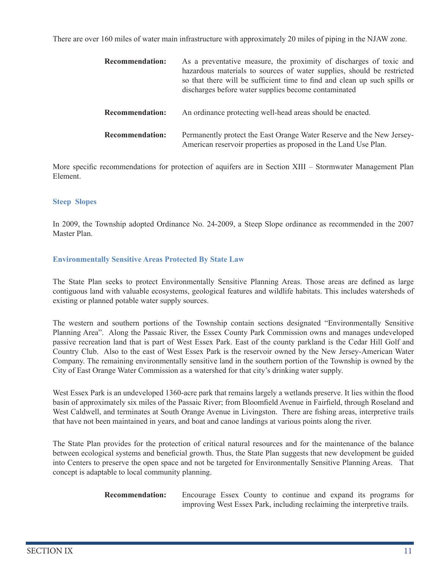There are over 160 miles of water main infrastructure with approximately 20 miles of piping in the NJAW zone.

| <b>Recommendation:</b> | As a preventative measure, the proximity of discharges of toxic and<br>hazardous materials to sources of water supplies, should be restricted<br>so that there will be sufficient time to find and clean up such spills or<br>discharges before water supplies become contaminated |
|------------------------|------------------------------------------------------------------------------------------------------------------------------------------------------------------------------------------------------------------------------------------------------------------------------------|
| <b>Recommendation:</b> | An ordinance protecting well-head areas should be enacted.                                                                                                                                                                                                                         |
| <b>Recommendation:</b> | Permanently protect the East Orange Water Reserve and the New Jersey-<br>American reservoir properties as proposed in the Land Use Plan.                                                                                                                                           |

More specific recommendations for protection of aquifers are in Section XIII – Stormwater Management Plan Element.

#### **Steep Slopes**

In 2009, the Township adopted Ordinance No. 24-2009, a Steep Slope ordinance as recommended in the 2007 Master Plan.

#### **Environmentally Sensitive Areas Protected By State Law**

The State Plan seeks to protect Environmentally Sensitive Planning Areas. Those areas are defined as large contiguous land with valuable ecosystems, geological features and wildlife habitats. This includes watersheds of existing or planned potable water supply sources.

The western and southern portions of the Township contain sections designated "Environmentally Sensitive Planning Area". Along the Passaic River, the Essex County Park Commission owns and manages undeveloped passive recreation land that is part of West Essex Park. East of the county parkland is the Cedar Hill Golf and Country Club. Also to the east of West Essex Park is the reservoir owned by the New Jersey-American Water Company. The remaining environmentally sensitive land in the southern portion of the Township is owned by the City of East Orange Water Commission as a watershed for that city's drinking water supply.

West Essex Park is an undeveloped 1360-acre park that remains largely a wetlands preserve. It lies within the flood basin of approximately six miles of the Passaic River; from Bloomfield Avenue in Fairfield, through Roseland and West Caldwell, and terminates at South Orange Avenue in Livingston. There are fishing areas, interpretive trails that have not been maintained in years, and boat and canoe landings at various points along the river.

The State Plan provides for the protection of critical natural resources and for the maintenance of the balance between ecological systems and beneficial growth. Thus, the State Plan suggests that new development be guided into Centers to preserve the open space and not be targeted for Environmentally Sensitive Planning Areas. That concept is adaptable to local community planning.

> **Recommendation:** Encourage Essex County to continue and expand its programs for improving West Essex Park, including reclaiming the interpretive trails.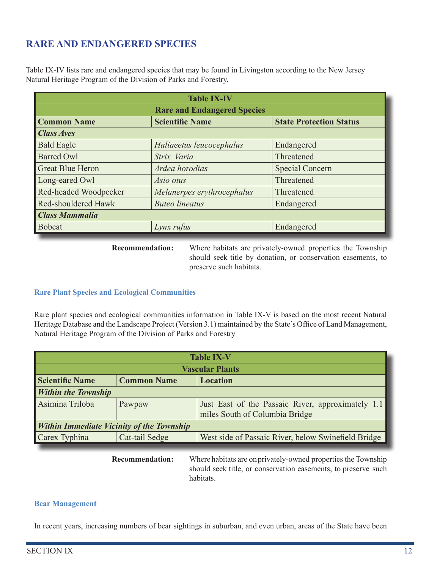# **RARE AND ENDANGERED SPECIES**

Table IX-IV lists rare and endangered species that may be found in Livingston according to the New Jersey Natural Heritage Program of the Division of Parks and Forestry.

| <b>Table IX-IV</b>                 |                            |                                |  |
|------------------------------------|----------------------------|--------------------------------|--|
| <b>Rare and Endangered Species</b> |                            |                                |  |
| <b>Common Name</b>                 | <b>Scientific Name</b>     | <b>State Protection Status</b> |  |
| <b>Class Aves</b>                  |                            |                                |  |
| <b>Bald Eagle</b>                  | Haliaeetus leucocephalus   | Endangered                     |  |
| <b>Barred Owl</b>                  | Strix Varia                | Threatened                     |  |
| <b>Great Blue Heron</b>            | Ardea horodias             | <b>Special Concern</b>         |  |
| Long-eared Owl                     | Asio otus                  | Threatened                     |  |
| Red-headed Woodpecker              | Melanerpes erythrocephalus | Threatened                     |  |
| Red-shouldered Hawk                | <b>Buteo lineatus</b>      | Endangered                     |  |
| <b>Class Mammalia</b>              |                            |                                |  |
| <b>Bobcat</b>                      | Lynx rufus                 | Endangered                     |  |

**Recommendation:** Where habitats are privately-owned properties the Township should seek title by donation, or conservation easements, to preserve such habitats.

#### **Rare Plant Species and Ecological Communities**

Rare plant species and ecological communities information in Table IX-V is based on the most recent Natural Heritage Database and the Landscape Project (Version 3.1) maintained by the State's Office of Land Management, Natural Heritage Program of the Division of Parks and Forestry

| <b>Table IX-V</b>                                                                                                                                                      |                    |                                                                                     |
|------------------------------------------------------------------------------------------------------------------------------------------------------------------------|--------------------|-------------------------------------------------------------------------------------|
| <b>Vascular Plants</b>                                                                                                                                                 |                    |                                                                                     |
| <b>Scientific Name</b>                                                                                                                                                 | <b>Common Name</b> | <b>Location</b>                                                                     |
| <b>Within the Township</b>                                                                                                                                             |                    |                                                                                     |
| Asimina Triloba                                                                                                                                                        | Pawpaw             | Just East of the Passaic River, approximately 1.1<br>miles South of Columbia Bridge |
| <b>Within Immediate Vicinity of the Township</b>                                                                                                                       |                    |                                                                                     |
| Carex Typhina                                                                                                                                                          | Cat-tail Sedge     | West side of Passaic River, below Swinefield Bridge                                 |
| <b>Recommendation:</b><br>Where habitats are on privately-owned properties the Township<br>should seek title, or conservation easements, to preserve such<br>habitats. |                    |                                                                                     |

#### **Bear Management**

In recent years, increasing numbers of bear sightings in suburban, and even urban, areas of the State have been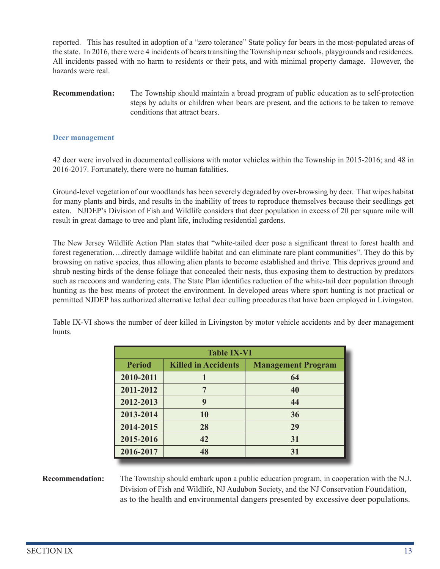reported. This has resulted in adoption of a "zero tolerance" State policy for bears in the most-populated areas of the state. In 2016, there were 4 incidents of bears transiting the Township near schools, playgrounds and residences. All incidents passed with no harm to residents or their pets, and with minimal property damage. However, the hazards were real.

**Recommendation:** The Township should maintain a broad program of public education as to self-protection steps by adults or children when bears are present, and the actions to be taken to remove conditions that attract bears.

#### **Deer management**

42 deer were involved in documented collisions with motor vehicles within the Township in 2015-2016; and 48 in 2016-2017. Fortunately, there were no human fatalities.

Ground-level vegetation of our woodlands has been severely degraded by over-browsing by deer. That wipes habitat for many plants and birds, and results in the inability of trees to reproduce themselves because their seedlings get eaten. NJDEP's Division of Fish and Wildlife considers that deer population in excess of 20 per square mile will result in great damage to tree and plant life, including residential gardens.

The New Jersey Wildlife Action Plan states that "white-tailed deer pose a significant threat to forest health and forest regeneration….directly damage wildlife habitat and can eliminate rare plant communities". They do this by browsing on native species, thus allowing alien plants to become established and thrive. This deprives ground and shrub nesting birds of the dense foliage that concealed their nests, thus exposing them to destruction by predators such as raccoons and wandering cats. The State Plan identifies reduction of the white-tail deer population through hunting as the best means of protect the environment. In developed areas where sport hunting is not practical or permitted NJDEP has authorized alternative lethal deer culling procedures that have been employed in Livingston.

Table IX-VI shows the number of deer killed in Livingston by motor vehicle accidents and by deer management hunts.

| <b>Table IX-VI</b> |                            |                           |
|--------------------|----------------------------|---------------------------|
| <b>Period</b>      | <b>Killed in Accidents</b> | <b>Management Program</b> |
| 2010-2011          |                            | 64                        |
| 2011-2012          | 7                          | 40                        |
| 2012-2013          | 9                          | 44                        |
| 2013-2014          | 10                         | 36                        |
| 2014-2015          | 28                         | 29                        |
| 2015-2016          | 42                         | 31                        |
| 2016-2017          | 48                         | 31                        |

**Recommendation:** The Township should embark upon a public education program, in cooperation with the N.J. Division of Fish and Wildlife, NJ Audubon Society, and the NJ Conservation Foundation, as to the health and environmental dangers presented by excessive deer populations.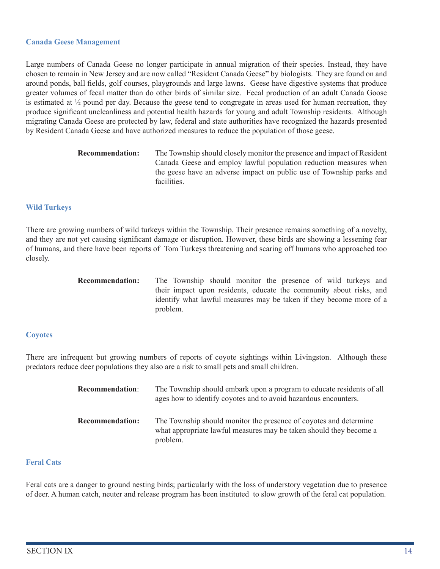#### **Canada Geese Management**

Large numbers of Canada Geese no longer participate in annual migration of their species. Instead, they have chosen to remain in New Jersey and are now called "Resident Canada Geese" by biologists. They are found on and around ponds, ball fields, golf courses, playgrounds and large lawns. Geese have digestive systems that produce greater volumes of fecal matter than do other birds of similar size. Fecal production of an adult Canada Goose is estimated at  $\frac{1}{2}$  pound per day. Because the geese tend to congregate in areas used for human recreation, they produce significant uncleanliness and potential health hazards for young and adult Township residents. Although migrating Canada Geese are protected by law, federal and state authorities have recognized the hazards presented by Resident Canada Geese and have authorized measures to reduce the population of those geese.

> **Recommendation:** The Township should closely monitor the presence and impact of Resident Canada Geese and employ lawful population reduction measures when the geese have an adverse impact on public use of Township parks and **facilities**

#### **Wild Turkeys**

There are growing numbers of wild turkeys within the Township. Their presence remains something of a novelty, and they are not yet causing significant damage or disruption. However, these birds are showing a lessening fear of humans, and there have been reports of Tom Turkeys threatening and scaring off humans who approached too closely.

| <b>Recommendation:</b> | The Township should monitor the presence of wild turkeys and        |
|------------------------|---------------------------------------------------------------------|
|                        | their impact upon residents, educate the community about risks, and |
|                        | identify what lawful measures may be taken if they become more of a |
|                        | problem.                                                            |

#### **Coyotes**

There are infrequent but growing numbers of reports of coyote sightings within Livingston. Although these predators reduce deer populations they also are a risk to small pets and small children.

| <b>Recommendation:</b> | The Township should embark upon a program to educate residents of all<br>ages how to identify coyotes and to avoid hazardous encounters.            |
|------------------------|-----------------------------------------------------------------------------------------------------------------------------------------------------|
| <b>Recommendation:</b> | The Township should monitor the presence of coyotes and determine<br>what appropriate lawful measures may be taken should they become a<br>problem. |

#### **Feral Cats**

Feral cats are a danger to ground nesting birds; particularly with the loss of understory vegetation due to presence of deer. A human catch, neuter and release program has been instituted to slow growth of the feral cat population.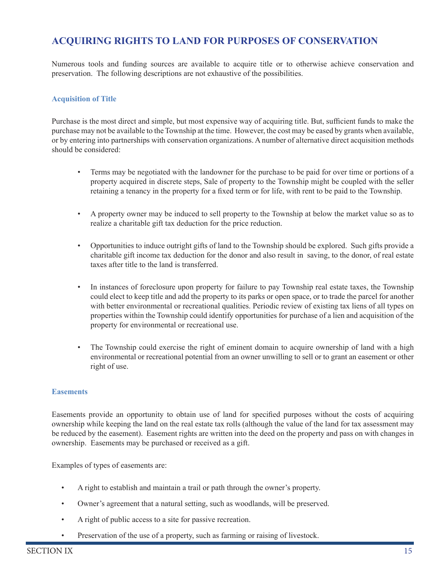# **ACQUIRING RIGHTS TO LAND FOR PURPOSES OF CONSERVATION**

Numerous tools and funding sources are available to acquire title or to otherwise achieve conservation and preservation. The following descriptions are not exhaustive of the possibilities.

#### **Acquisition of Title**

Purchase is the most direct and simple, but most expensive way of acquiring title. But, sufficient funds to make the purchase may not be available to the Township at the time. However, the cost may be eased by grants when available, or by entering into partnerships with conservation organizations. A number of alternative direct acquisition methods should be considered:

- Terms may be negotiated with the landowner for the purchase to be paid for over time or portions of a property acquired in discrete steps, Sale of property to the Township might be coupled with the seller retaining a tenancy in the property for a fixed term or for life, with rent to be paid to the Township.
- A property owner may be induced to sell property to the Township at below the market value so as to realize a charitable gift tax deduction for the price reduction.
- Opportunities to induce outright gifts of land to the Township should be explored. Such gifts provide a charitable gift income tax deduction for the donor and also result in saving, to the donor, of real estate taxes after title to the land is transferred.
- In instances of foreclosure upon property for failure to pay Township real estate taxes, the Township could elect to keep title and add the property to its parks or open space, or to trade the parcel for another with better environmental or recreational qualities. Periodic review of existing tax liens of all types on properties within the Township could identify opportunities for purchase of a lien and acquisition of the property for environmental or recreational use.
- The Township could exercise the right of eminent domain to acquire ownership of land with a high environmental or recreational potential from an owner unwilling to sell or to grant an easement or other right of use.

#### **Easements**

Easements provide an opportunity to obtain use of land for specified purposes without the costs of acquiring ownership while keeping the land on the real estate tax rolls (although the value of the land for tax assessment may be reduced by the easement). Easement rights are written into the deed on the property and pass on with changes in ownership. Easements may be purchased or received as a gift.

Examples of types of easements are:

- A right to establish and maintain a trail or path through the owner's property.
- Owner's agreement that a natural setting, such as woodlands, will be preserved.
- A right of public access to a site for passive recreation.
- Preservation of the use of a property, such as farming or raising of livestock.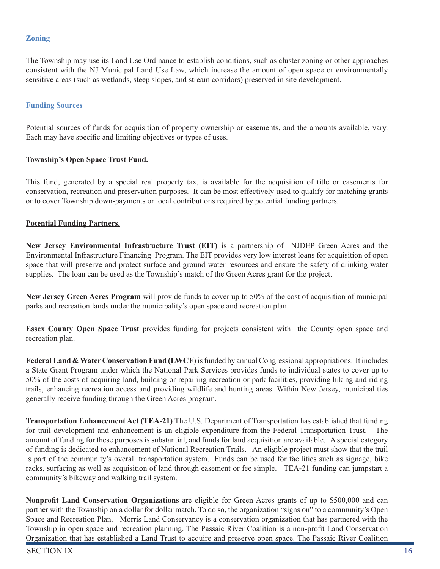#### **Zoning**

The Township may use its Land Use Ordinance to establish conditions, such as cluster zoning or other approaches consistent with the NJ Municipal Land Use Law, which increase the amount of open space or environmentally sensitive areas (such as wetlands, steep slopes, and stream corridors) preserved in site development.

#### **Funding Sources**

Potential sources of funds for acquisition of property ownership or easements, and the amounts available, vary. Each may have specific and limiting objectives or types of uses.

#### **Township's Open Space Trust Fund.**

This fund, generated by a special real property tax, is available for the acquisition of title or easements for conservation, recreation and preservation purposes. It can be most effectively used to qualify for matching grants or to cover Township down-payments or local contributions required by potential funding partners.

#### **Potential Funding Partners.**

**New Jersey Environmental Infrastructure Trust (EIT)** is a partnership of NJDEP Green Acres and the Environmental Infrastructure Financing Program. The EIT provides very low interest loans for acquisition of open space that will preserve and protect surface and ground water resources and ensure the safety of drinking water supplies. The loan can be used as the Township's match of the Green Acres grant for the project.

**New Jersey Green Acres Program** will provide funds to cover up to 50% of the cost of acquisition of municipal parks and recreation lands under the municipality's open space and recreation plan.

**Essex County Open Space Trust** provides funding for projects consistent with the County open space and recreation plan.

**Federal Land & Water Conservation Fund (LWCF**) is funded by annual Congressional appropriations. It includes a State Grant Program under which the National Park Services provides funds to individual states to cover up to 50% of the costs of acquiring land, building or repairing recreation or park facilities, providing hiking and riding trails, enhancing recreation access and providing wildlife and hunting areas. Within New Jersey, municipalities generally receive funding through the Green Acres program.

**Transportation Enhancement Act (TEA-21)** The U.S. Department of Transportation has established that funding for trail development and enhancement is an eligible expenditure from the Federal Transportation Trust. The amount of funding for these purposes is substantial, and funds for land acquisition are available. A special category of funding is dedicated to enhancement of National Recreation Trails. An eligible project must show that the trail is part of the community's overall transportation system. Funds can be used for facilities such as signage, bike racks, surfacing as well as acquisition of land through easement or fee simple. TEA-21 funding can jumpstart a community's bikeway and walking trail system.

**Nonprofit Land Conservation Organizations** are eligible for Green Acres grants of up to \$500,000 and can partner with the Township on a dollar for dollar match. To do so, the organization "signs on" to a community's Open Space and Recreation Plan. Morris Land Conservancy is a conservation organization that has partnered with the Township in open space and recreation planning. The Passaic River Coalition is a non-profit Land Conservation Organization that has established a Land Trust to acquire and preserve open space. The Passaic River Coalition

SECTION IX 16